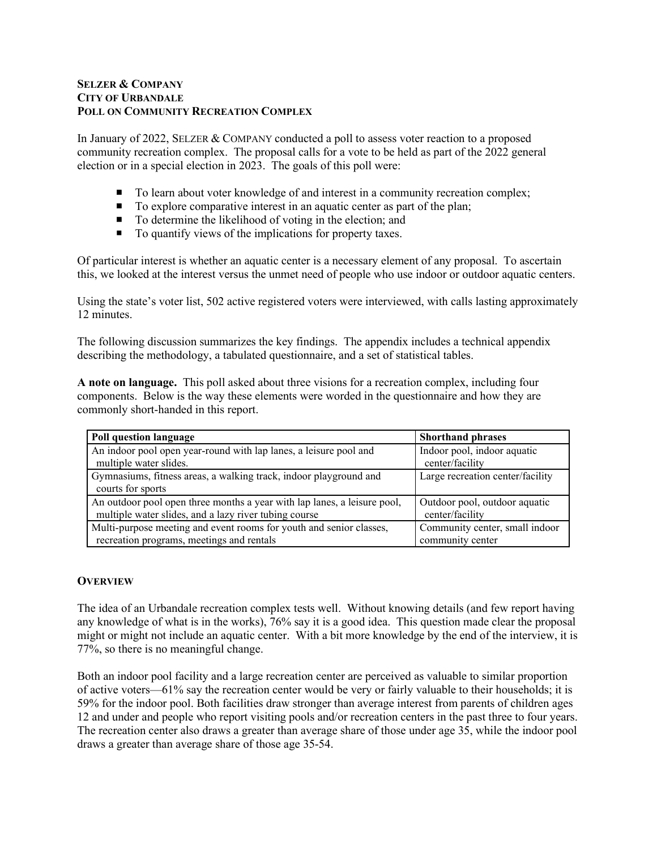### **SELZER & COMPANY CITY OF URBANDALE POLL ON COMMUNITY RECREATION COMPLEX**

In January of 2022, SELZER & COMPANY conducted a poll to assess voter reaction to a proposed community recreation complex. The proposal calls for a vote to be held as part of the 2022 general election or in a special election in 2023. The goals of this poll were:

- To learn about voter knowledge of and interest in a community recreation complex;
- $\blacksquare$  To explore comparative interest in an aquatic center as part of the plan;
- To determine the likelihood of voting in the election; and
- To quantify views of the implications for property taxes.

Of particular interest is whether an aquatic center is a necessary element of any proposal. To ascertain this, we looked at the interest versus the unmet need of people who use indoor or outdoor aquatic centers.

Using the state's voter list, 502 active registered voters were interviewed, with calls lasting approximately 12 minutes.

The following discussion summarizes the key findings. The appendix includes a technical appendix describing the methodology, a tabulated questionnaire, and a set of statistical tables.

**A note on language.** This poll asked about three visions for a recreation complex, including four components. Below is the way these elements were worded in the questionnaire and how they are commonly short-handed in this report.

| Poll question language                                                                                                            | <b>Shorthand phrases</b>                         |
|-----------------------------------------------------------------------------------------------------------------------------------|--------------------------------------------------|
| An indoor pool open year-round with lap lanes, a leisure pool and<br>multiple water slides.                                       | Indoor pool, indoor aquatic<br>center/facility   |
| Gymnasiums, fitness areas, a walking track, indoor playground and<br>courts for sports                                            | Large recreation center/facility                 |
| An outdoor pool open three months a year with lap lanes, a leisure pool,<br>multiple water slides, and a lazy river tubing course | Outdoor pool, outdoor aquatic<br>center/facility |
| Multi-purpose meeting and event rooms for youth and senior classes,                                                               | Community center, small indoor                   |
| recreation programs, meetings and rentals                                                                                         | community center                                 |

## **OVERVIEW**

The idea of an Urbandale recreation complex tests well. Without knowing details (and few report having any knowledge of what is in the works), 76% say it is a good idea. This question made clear the proposal might or might not include an aquatic center. With a bit more knowledge by the end of the interview, it is 77%, so there is no meaningful change.

Both an indoor pool facility and a large recreation center are perceived as valuable to similar proportion of active voters—61% say the recreation center would be very or fairly valuable to their households; it is 59% for the indoor pool. Both facilities draw stronger than average interest from parents of children ages 12 and under and people who report visiting pools and/or recreation centers in the past three to four years. The recreation center also draws a greater than average share of those under age 35, while the indoor pool draws a greater than average share of those age 35-54.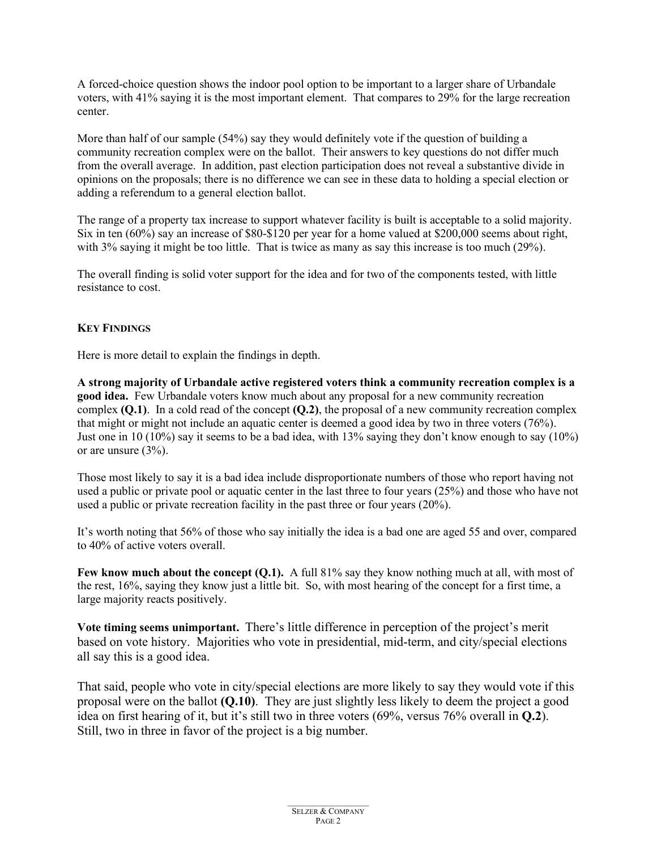A forced-choice question shows the indoor pool option to be important to a larger share of Urbandale voters, with 41% saying it is the most important element. That compares to 29% for the large recreation center.

More than half of our sample (54%) say they would definitely vote if the question of building a community recreation complex were on the ballot. Their answers to key questions do not differ much from the overall average. In addition, past election participation does not reveal a substantive divide in opinions on the proposals; there is no difference we can see in these data to holding a special election or adding a referendum to a general election ballot.

The range of a property tax increase to support whatever facility is built is acceptable to a solid majority. Six in ten (60%) say an increase of \$80-\$120 per year for a home valued at \$200,000 seems about right, with 3% saying it might be too little. That is twice as many as say this increase is too much (29%).

The overall finding is solid voter support for the idea and for two of the components tested, with little resistance to cost.

## **KEY FINDINGS**

Here is more detail to explain the findings in depth.

**A strong majority of Urbandale active registered voters think a community recreation complex is a good idea.** Few Urbandale voters know much about any proposal for a new community recreation complex **(Q.1)**. In a cold read of the concept **(Q.2)**, the proposal of a new community recreation complex that might or might not include an aquatic center is deemed a good idea by two in three voters (76%). Just one in 10 (10%) say it seems to be a bad idea, with 13% saying they don't know enough to say (10%) or are unsure (3%).

Those most likely to say it is a bad idea include disproportionate numbers of those who report having not used a public or private pool or aquatic center in the last three to four years (25%) and those who have not used a public or private recreation facility in the past three or four years (20%).

It's worth noting that 56% of those who say initially the idea is a bad one are aged 55 and over, compared to 40% of active voters overall.

**Few know much about the concept (Q.1).** A full 81% say they know nothing much at all, with most of the rest, 16%, saying they know just a little bit. So, with most hearing of the concept for a first time, a large majority reacts positively.

**Vote timing seems unimportant.** There's little difference in perception of the project's merit based on vote history. Majorities who vote in presidential, mid-term, and city/special elections all say this is a good idea.

That said, people who vote in city/special elections are more likely to say they would vote if this proposal were on the ballot **(Q.10)**. They are just slightly less likely to deem the project a good idea on first hearing of it, but it's still two in three voters (69%, versus 76% overall in **Q.2**). Still, two in three in favor of the project is a big number.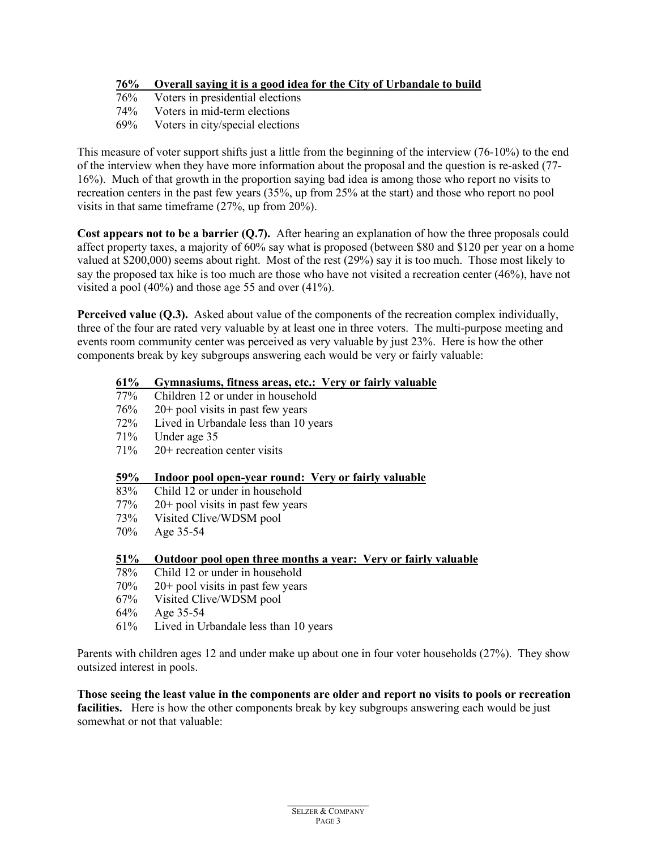# **76% Overall saying it is a good idea for the City of Urbandale to build**

- Voters in presidential elections
- 74% Voters in mid-term elections
- 69% Voters in city/special elections

This measure of voter support shifts just a little from the beginning of the interview (76-10%) to the end of the interview when they have more information about the proposal and the question is re-asked (77- 16%). Much of that growth in the proportion saying bad idea is among those who report no visits to recreation centers in the past few years (35%, up from 25% at the start) and those who report no pool visits in that same timeframe (27%, up from 20%).

**Cost appears not to be a barrier (Q.7).** After hearing an explanation of how the three proposals could affect property taxes, a majority of 60% say what is proposed (between \$80 and \$120 per year on a home valued at \$200,000) seems about right. Most of the rest (29%) say it is too much. Those most likely to say the proposed tax hike is too much are those who have not visited a recreation center (46%), have not visited a pool (40%) and those age 55 and over (41%).

**Perceived value (Q.3).** Asked about value of the components of the recreation complex individually, three of the four are rated very valuable by at least one in three voters. The multi-purpose meeting and events room community center was perceived as very valuable by just 23%. Here is how the other components break by key subgroups answering each would be very or fairly valuable:

# **61% Gymnasiums, fitness areas, etc.: Very or fairly valuable**

- Children 12 or under in household
- 76% 20+ pool visits in past few years<br>72% Lived in Urbandale less than  $10 \text{ y}$
- Lived in Urbandale less than 10 years
- 71% Under age 35
- 71% 20+ recreation center visits

### **59% Indoor pool open-year round: Very or fairly valuable**

- 83% Child 12 or under in household
- 77% 20+ pool visits in past few years
- 73% Visited Clive/WDSM pool<br>70% Age 35-54
- Age 35-54

### **51% Outdoor pool open three months a year: Very or fairly valuable**

- 78% Child 12 or under in household
- 70% 20+ pool visits in past few years
- 67% Visited Clive/WDSM pool
- 64% Age 35-54
- 61% Lived in Urbandale less than 10 years

Parents with children ages 12 and under make up about one in four voter households (27%). They show outsized interest in pools.

**Those seeing the least value in the components are older and report no visits to pools or recreation facilities.** Here is how the other components break by key subgroups answering each would be just somewhat or not that valuable: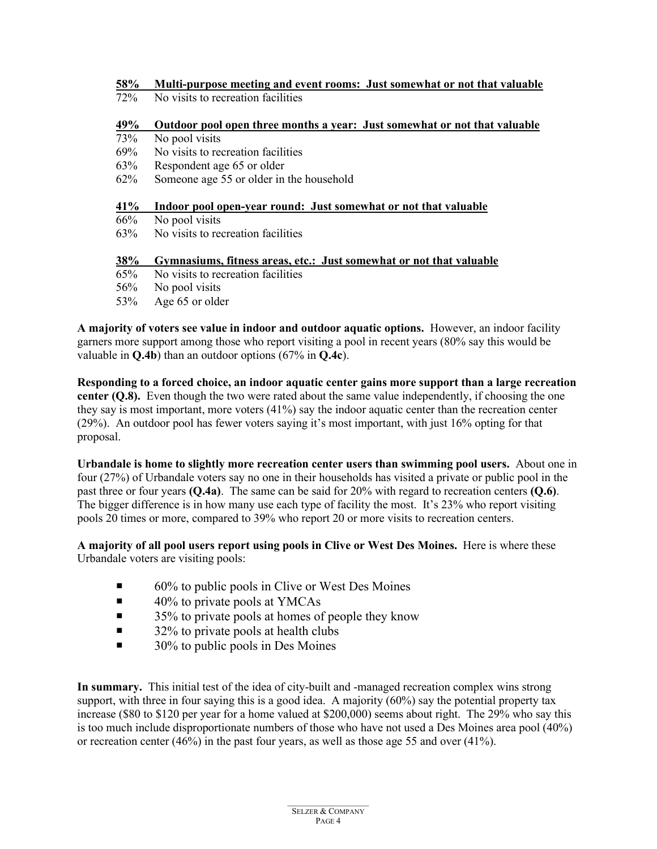| 58% |  | Multi-purpose meeting and event rooms: Just somewhat or not that valuable |
|-----|--|---------------------------------------------------------------------------|
|     |  |                                                                           |

72% No visits to recreation facilities

## **49% Outdoor pool open three months a year: Just somewhat or not that valuable**

73% No pool visits

- 69% No visits to recreation facilities
- 63% Respondent age 65 or older
- 62% Someone age 55 or older in the household

#### **41% Indoor pool open-year round: Just somewhat or not that valuable**

- 66% No pool visits
- 63% No visits to recreation facilities

#### **38% Gymnasiums, fitness areas, etc.: Just somewhat or not that valuable**

- 65% No visits to recreation facilities
- 56% No pool visits
- 53% Age 65 or older

**A majority of voters see value in indoor and outdoor aquatic options.** However, an indoor facility garners more support among those who report visiting a pool in recent years (80% say this would be valuable in **Q.4b**) than an outdoor options (67% in **Q.4c**).

**Responding to a forced choice, an indoor aquatic center gains more support than a large recreation center (O.8).** Even though the two were rated about the same value independently, if choosing the one they say is most important, more voters (41%) say the indoor aquatic center than the recreation center (29%). An outdoor pool has fewer voters saying it's most important, with just 16% opting for that proposal.

**Urbandale is home to slightly more recreation center users than swimming pool users.** About one in four (27%) of Urbandale voters say no one in their households has visited a private or public pool in the past three or four years **(Q.4a)**. The same can be said for 20% with regard to recreation centers **(Q.6)**. The bigger difference is in how many use each type of facility the most. It's 23% who report visiting pools 20 times or more, compared to 39% who report 20 or more visits to recreation centers.

**A majority of all pool users report using pools in Clive or West Des Moines.** Here is where these Urbandale voters are visiting pools:

- 60% to public pools in Clive or West Des Moines
- $\blacksquare$  40% to private pools at YMCAs
- $\blacksquare$  35% to private pools at homes of people they know
- $\blacksquare$  32% to private pools at health clubs
- $\blacksquare$  30% to public pools in Des Moines

**In summary.** This initial test of the idea of city-built and -managed recreation complex wins strong support, with three in four saying this is a good idea. A majority (60%) say the potential property tax increase (\$80 to \$120 per year for a home valued at \$200,000) seems about right. The 29% who say this is too much include disproportionate numbers of those who have not used a Des Moines area pool (40%) or recreation center (46%) in the past four years, as well as those age 55 and over (41%).